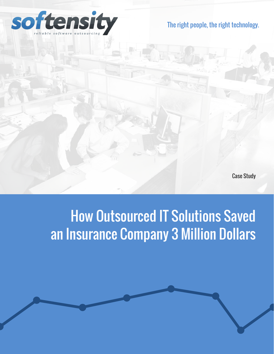

#### The right people, the right technology.

Case Study

## How Outsourced IT Solutions Saved an Insurance Company 3 Million Dollars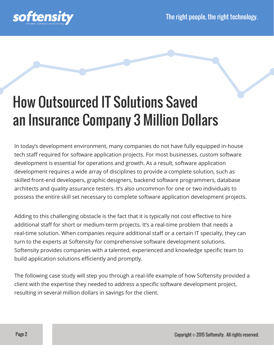

# How Outsourced IT Solutions Saved an Insurance Company 3 Million Dollars

In today's development environment, many companies do not have fully equipped in-house tech staff required for software application projects. For most businesses, custom software development is essential for operations and growth. As a result, software application development requires a wide array of disciplines to provide a complete solution, such as skilled front-end developers, graphic designers, backend software programmers, database architects and quality assurance testers. It's also uncommon for one or two individuals to possess the entire skill set necessary to complete software application development projects.

Adding to this challenging obstacle is the fact that it is typically not cost effective to hire additional staff for short or medium-term projects. It's a real-time problem that needs a real-time solution. When companies require additional staff or a certain IT specialty, they can turn to the experts at Softensity for comprehensive software development solutions. Softensity provides companies with a talented, experienced and knowledge specific team to build application solutions efficiently and promptly.

The following case study will step you through a real-life example of how Softensity provided a client with the expertise they needed to address a specific software development project, resulting in several million dollars in savings for the client.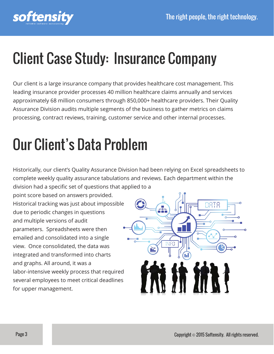

# Client Case Study: Insurance Company

Our client is a large insurance company that provides healthcare cost management. This leading insurance provider processes 40 million healthcare claims annually and services approximately 68 million consumers through 850,000+ healthcare providers. Their Quality Assurance Division audits multiple segments of the business to gather metrics on claims processing, contract reviews, training, customer service and other internal processes.

# Our Client's Data Problem

Historically, our client's Quality Assurance Division had been relying on Excel spreadsheets to complete weekly quality assurance tabulations and reviews. Each department within the division had a specific set of questions that applied to a

point score based on answers provided. Historical tracking was just about impossible due to periodic changes in questions and multiple versions of audit parameters. Spreadsheets were then emailed and consolidated into a single view. Once consolidated, the data was integrated and transformed into charts and graphs. All around, it was a labor-intensive weekly process that required several employees to meet critical deadlines for upper management.

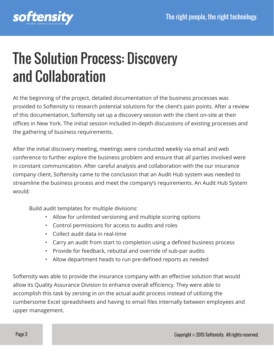

## The Solution Process: Discovery and Collaboration

At the beginning of the project, detailed documentation of the business processes was provided to Softensity to research potential solutions for the client's pain points. After a review of this documentation, Softensity set up a discovery session with the client on-site at their offices in New York. The initial session included in-depth discussions of existing processes and the gathering of business requirements.

After the initial discovery meeting, meetings were conducted weekly via email and web conference to further explore the business problem and ensure that all parties involved were in constant communication. After careful analysis and collaboration with the our insurance company client, Softensity came to the conclusion that an Audit Hub system was needed to streamline the business process and meet the company's requirements. An Audit Hub System would:

Build audit templates for multiple divisions:

- Allow for unlimited versioning and multiple scoring options
- Control permissions for access to audits and roles
- Collect audit data in real-time
- Carry an audit from start to completion using a defined business process
- Provide for feedback, rebuttal and override of sub-par audits
- Allow department heads to run pre-defined reports as needed

Softensity was able to provide the insurance company with an effective solution that would allow its Quality Assurance Division to enhance overall efficiency. They were able to accomplish this task by zeroing in on the actual audit process instead of utilizing the cumbersome Excel spreadsheets and having to email files internally between employees and upper management.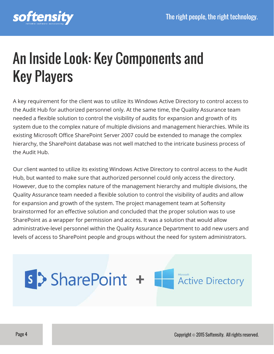

# An Inside Look: Key Components and Key Players

A key requirement for the client was to utilize its Windows Active Directory to control access to the Audit Hub for authorized personnel only. At the same time, the Quality Assurance team needed a flexible solution to control the visibility of audits for expansion and growth of its system due to the complex nature of multiple divisions and management hierarchies. While its existing Microsoft Office SharePoint Server 2007 could be extended to manage the complex hierarchy, the SharePoint database was not well matched to the intricate business process of the Audit Hub.

Our client wanted to utilize its existing Windows Active Directory to control access to the Audit Hub, but wanted to make sure that authorized personnel could only access the directory. However, due to the complex nature of the management hierarchy and multiple divisions, the Quality Assurance team needed a flexible solution to control the visibility of audits and allow for expansion and growth of the system. The project management team at Softensity brainstormed for an effective solution and concluded that the proper solution was to use SharePoint as a wrapper for permission and access. It was a solution that would allow administrative-level personnel within the Quality Assurance Department to add new users and levels of access to SharePoint people and groups without the need for system administrators.

#### s > SharePoint + Active Directory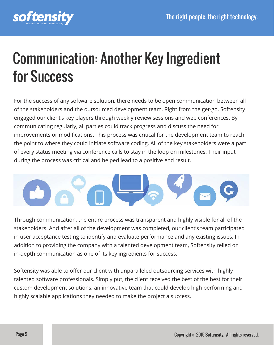

#### Communication: Another Key Ingredient for Success

For the success of any software solution, there needs to be open communication between all of the stakeholders and the outsourced development team. Right from the get-go, Softensity engaged our client's key players through weekly review sessions and web conferences. By communicating regularly, all parties could track progress and discuss the need for improvements or modifications. This process was critical for the development team to reach the point to where they could initiate software coding. All of the key stakeholders were a part of every status meeting via conference calls to stay in the loop on milestones. Their input during the process was critical and helped lead to a positive end result.



Through communication, the entire process was transparent and highly visible for all of the stakeholders. And after all of the development was completed, our client's team participated in user acceptance testing to identify and evaluate performance and any existing issues. In addition to providing the company with a talented development team, Softensity relied on in-depth communication as one of its key ingredients for success.

Softensity was able to offer our client with unparalleled outsourcing services with highly talented software professionals. Simply put, the client received the best of the best for their custom development solutions; an innovative team that could develop high performing and highly scalable applications they needed to make the project a success.